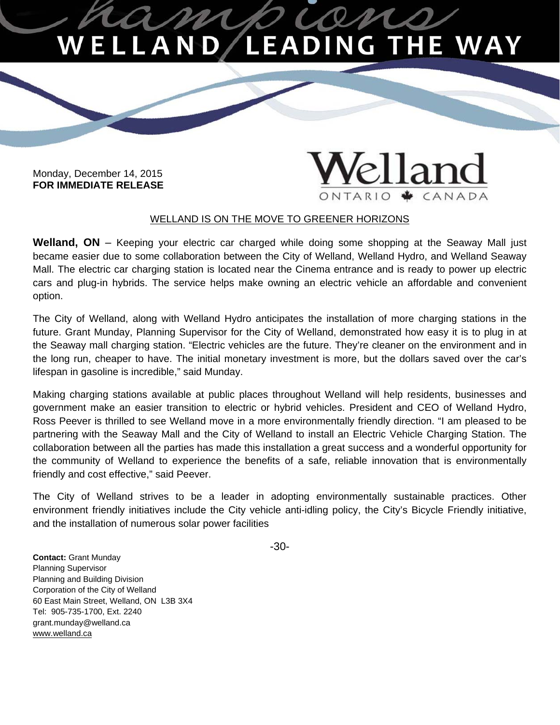## **LEADING THE WAY** ELLAN

Monday, December 14, 2015 **FOR IMMEDIATE RELEASE** 

## el land ONTARIO ◆ CANADA

## WELLAND IS ON THE MOVE TO GREENER HORIZONS

**Welland, ON** – Keeping your electric car charged while doing some shopping at the Seaway Mall just became easier due to some collaboration between the City of Welland, Welland Hydro, and Welland Seaway Mall. The electric car charging station is located near the Cinema entrance and is ready to power up electric cars and plug-in hybrids. The service helps make owning an electric vehicle an affordable and convenient option.

The City of Welland, along with Welland Hydro anticipates the installation of more charging stations in the future. Grant Munday, Planning Supervisor for the City of Welland, demonstrated how easy it is to plug in at the Seaway mall charging station. "Electric vehicles are the future. They're cleaner on the environment and in the long run, cheaper to have. The initial monetary investment is more, but the dollars saved over the car's lifespan in gasoline is incredible," said Munday.

Making charging stations available at public places throughout Welland will help residents, businesses and government make an easier transition to electric or hybrid vehicles. President and CEO of Welland Hydro, Ross Peever is thrilled to see Welland move in a more environmentally friendly direction. "I am pleased to be partnering with the Seaway Mall and the City of Welland to install an Electric Vehicle Charging Station. The collaboration between all the parties has made this installation a great success and a wonderful opportunity for the community of Welland to experience the benefits of a safe, reliable innovation that is environmentally friendly and cost effective," said Peever.

The City of Welland strives to be a leader in adopting environmentally sustainable practices. Other environment friendly initiatives include the City vehicle anti-idling policy, the City's Bicycle Friendly initiative, and the installation of numerous solar power facilities

-30-

 Corporation of the City of Welland **Contact:** Grant Munday Planning Supervisor Planning and Building Division 60 East Main Street, Welland, ON L3B 3X4 Tel: 905-735-1700, Ext. 2240 [grant.munday@welland.ca](mailto:grant.munday@welland.ca)  www.welland.ca